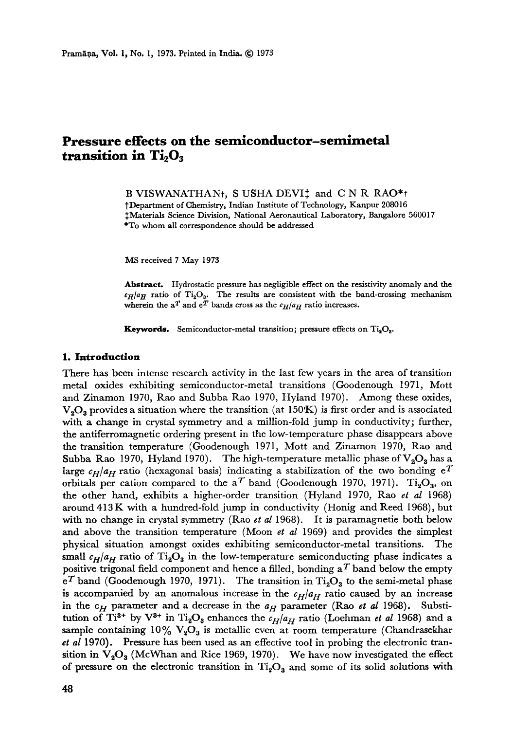# **Pressure effects on the semiconductor-semimetal**  transition in Ti<sub>2</sub>O<sub>3</sub>

B VISWANATHAN<sub>t</sub>, S USHA DEVI<sup> $+$ </sup> and C N R RAO<sup>\*</sup><sup>†</sup>

]'Department of Chemistry, Indian Institute of Technology, Kanpur 208016 ++Materials Science Division, National Aeronautical Laboratory, Bangalore 560017 \*To whom **all** correspondence should be addressed

MS received 7 May 1973

Abstract. Hydrostatic pressure has negligible effect on the resistivity anomaly and the  $c_H/a_H$  ratio of Ti<sub>2</sub>O<sub>s</sub>. The results are consistent with the band-crossing mechanism wherein the a<sup>T</sup> and  $e^T$  bands cross as the  $c_H/a_H$  ratio increases.

**Keywords.** Semiconductor-metal transition; pressure effects on  $Ti_3O_3$ .

## **1. Introduction**

There has been intense research activity in the last few years in the area of transition metal oxides exhibiting semiconductor-metal transitions (Goodenough 1971, Mott and Zinamon 1970, Rao and Subba Rao 1970, Hyland 1970). Among these oxides,  $V_2O_3$  provides a situation where the transition (at 150°K) is first order and is associated with a change in crystal symmetry and a million-fold jump in conductivity; further, the antiferromagnetic ordering present in the low-temperature phase disappears above the transition temperature (Goodenough 1971, Mott and Zinamon 1970, Rao and Subba Rao 1970, Hyland 1970). The high-temperature metallic phase of  $V_2O_3$  has a large  $c_H/a_H$  ratio (hexagonal basis) indicating a stabilization of the two bonding  $e^T$ orbitals per cation compared to the a<sup>T</sup> band (Goodenough 1970, 1971). Ti<sub>2</sub>O<sub>3</sub>, on the other hand, exhibits a higher-order transition (Hyland 1970, Rao *et al* 1968) around 413K with a hundred-fold jump in conductivity (Honig and Reed 1968), but with no change in crystal symmetry (Rao *et al* 1968). It is paramagnetie both below and above the transition temperature (Moon *et al* 1969) and provides the simplest physical situation amongst oxides exhibiting *semiconductor-metal* transitions. The small  $c_H/a_H$  ratio of Ti<sub>2</sub>O<sub>3</sub> in the low-temperature semiconducting phase indicates a positive trigonal field component and hence a filled, bonding  $a^T$  band below the empty  $e^T$  band (Goodenough 1970, 1971). The transition in  $Ti_2O_3$  to the semi-metal phase is accompanied by an anomalous increase in the  $c_H/a_H$  ratio caused by an increase in the  $c_H$  parameter and a decrease in the  $a_H$  parameter (Rao *et al* 1968). Substitution of Ti<sup>3+</sup> by V<sup>3+</sup> in Ti<sub>2</sub>O<sub>3</sub> enhances the  $c_H/a_H$  ratio (Loehman *et al* 1968) and a sample containing  $10\%$  V<sub>2</sub>O<sub>3</sub> is metallic even at room temperature (Chandrasekhar *et al* 1970). Pressure has been used as an effective tool in probing the electronic transition in  $V_2O_3$  (McWhan and Rice 1969, 1970). We have now investigated the effect of pressure on the electronic transition in  $Ti<sub>2</sub>O<sub>3</sub>$  and some of its solid solutions with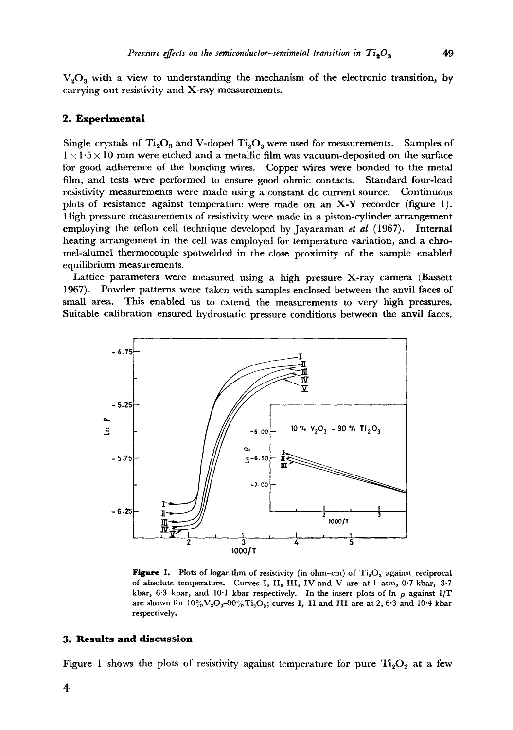$V<sub>2</sub>O<sub>3</sub>$  with a view to understanding the mechanism of the electronic transition, by carrying out resistivity and X-ray measurements.

## **2. Experimental**

Single crystals of Ti<sub>2</sub>O<sub>3</sub> and V-doped Ti<sub>2</sub>O<sub>3</sub> were used for measurements. Samples of  $1 \times 1.5 \times 10$  mm were etched and a metallic film was vacuum-deposited on the surface for good adherence of the bonding wires. Copper wires were bonded to the metal film, and tests were performed to ensure good ohmic contacts. Standard four-lead resistivity measurements were made using a constant de current source. Continuous plots of resistance against temperature were made on an X-Y recorder (figure 1). High pressure measurements of resistivity were made in a piston-cylinder arrangement employing the teflon cell technique developed by Jayaraman *et al* (1967). Internal heating arrangement in the cell was employed for temperature variation, and a chromel-alumel thermocouple spotwelded in the close proximity of the sample enabled equilibrium measurements.

Lattice parameters were measured using a high pressure X-ray camera (Bassett 1967). Powder patterns were taken with samples enclosed between the anvil faces of small area. This enabled us to extend the measurements to very high pressures. Suitable calibration ensured hydrostatic pressure conditions between the anvil faces.



Figure 1. Plots of logarithm of resistivity (in ohm-cm) of  $Ti<sub>2</sub>O<sub>3</sub>$  against reciprocal of absolute temperature. Curves I, II, III, IV and. V are at 1 atm, 0-7 kbax, 3.7 kbar, 6.3 kbar, and 10.1 kbar respectively. In the insert plots of  $\ln \rho$  against 1/T are shown for  $10\%$  V<sub>2</sub>O<sub>3</sub>-90% $Ti<sub>2</sub>O<sub>3</sub>$ ; curves I, II and III are at 2, 6.3 and 10.4 kbar respectively.

## **3. Results and discussion**

Figure 1 shows the plots of resistivity against temperature for pure  $Ti<sub>2</sub>O<sub>3</sub>$  at a few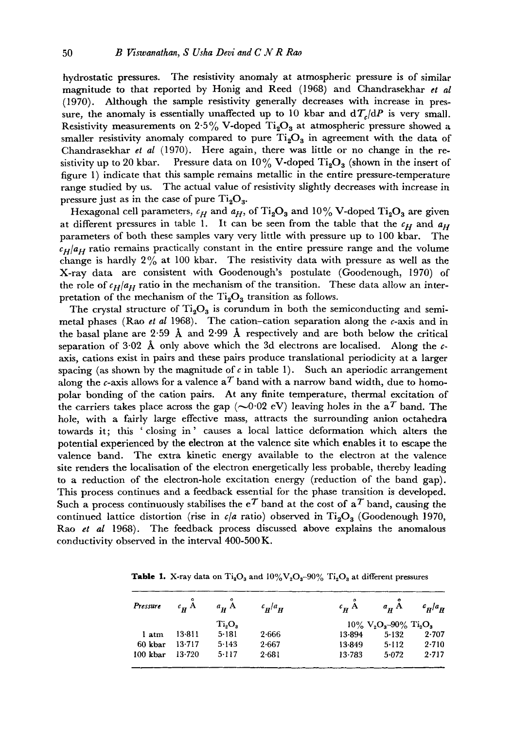hydrostatic pressures. The resistivity anomaly at atmospheric pressure is of similar magnitude to that reported by Honig and Reed (1968) and Chandrasekhar *et al*  (1970). Although the sample resistivity generally decreases with increase in pressure, the anomaly is essentially unaffected up to 10 kbar and  $d\mathcal{T}_{\ell}/dP$  is very small. Resistivity measurements on 2.5% V-doped  $Ti<sub>2</sub>O<sub>3</sub>$  at atmospheric pressure showed a smaller resistivity anomaly compared to pure  $Ti_2O_3$  in agreement with the data of Chandrasekhar *et al* (1970). Here again, there was little or no change in the resistivity up to 20 kbar. Pressure data on  $10\%$  V-doped Ti<sub>2</sub>O<sub>3</sub> (shown in the insert of figure I) indicate that this sample remains metallic in the entire pressure-temperature range studied by us. The actual value of resistivity slightly decreases with increase in pressure just as in the case of pure  $Ti<sub>2</sub>O<sub>3</sub>$ .

Hexagonal cell parameters,  $c_H$  and  $a_H$ , of Ti<sub>2</sub>O<sub>3</sub> and 10% V-doped Ti<sub>2</sub>O<sub>3</sub> are given at different pressures in table 1. It can be seen from the table that the  $c_H$  and  $a_H$ parameters of both these samples vary very little with pressure up to 100 kbar. The  $c_H/a_H$  ratio remains practically constant in the entire pressure range and the volume change is hardly  $2\%$  at 100 kbar. The resistivity data with pressure as well as the X-ray data are consistent with Goodenough's postulate (Goodenough, 1970) of the role of  $c_H/a_H$  ratio in the mechanism of the transition. These data allow an interpretation of the mechanism of the  $Ti_2O_3$  transition as follows.

The crystal structure of  $Ti<sub>2</sub>O<sub>3</sub>$  is corundum in both the semiconducting and semimetal phases (Rao *et al* 1968). The cation-cation separation along the c-axis and in the basal plane are 2.59  $\AA$  and 2.99  $\AA$  respectively and are both below the critical separation of 3.02 Å only above which the 3d electrons are localised. Along the  $c$ axis, cations exist in pairs and these pairs produce translational periodicity at a larger spacing (as shown by the magnitude of c in table 1). Such an aperiodic arrangement along the c-axis allows for a valence  $a<sup>T</sup>$  band with a narrow band width, due to homopolar bonding of the cation pairs. At any finite temperature, thermal excitation of the carriers takes place across the gap ( $\sim$ 0.02 eV) leaving holes in the a<sup>T</sup> band. The hole, with a fairly large effective mass, attracts the surrounding anion octahedra towards it; this 'closing in' causes a local lattice deformation which alters the potential experienced by the electron at the valence site which enables it to escape the valence band. The extra kinetic energy available to the electron at the valence site renders the localisation of the electron energetically less probable, thereby leading to a reduction of the electron-hole excitation energy (reduction of the band gap). This process continues and a feedback essential for the phase transition is developed. Such a process continuously stabilises the  $e^T$  band at the cost of  $a^T$  band, causing the continued lattice distortion (rise in  $c/a$  ratio) observed in Ti<sub>2</sub>O<sub>3</sub> (Goodenough 1970, Rao *et al* 1968). The feedback process discussed above explains the anomalous conductivity observed in the interval 400-500 K.

| Pressure $c_{H} A$ $a_{H} A$ |        |           | $c_{\bf H}/a_{\bf H}$ |                                                            | $c_{\bf p}$ $\AA$ $a_{\bf p}$ $\AA$ $c_{\bf p}/a_{\bf p}$ |       |
|------------------------------|--------|-----------|-----------------------|------------------------------------------------------------|-----------------------------------------------------------|-------|
|                              | Ti,O,  |           |                       | $10\% \text{ V}_2\text{O}_3 - 90\% \text{ Ti}_2\text{O}_3$ |                                                           |       |
| 1 atm                        | 13-811 | 5.181     | 2.666                 | 13-894                                                     | $5-132$                                                   | 2.707 |
| 60 kbar                      | 13.717 | 5.143     | 2.667                 | $13-849$                                                   | $5 - 112$                                                 | 2.710 |
| $100$ kbar                   | 13.720 | $5 - 117$ | 2.681                 | 13.783                                                     | 5.072                                                     | 2.717 |

**Table 1.** X-ray data on  $Ti_2O_3$  and  $10\%V_2O_3-90\%$   $Ti_2O_3$  at different pressures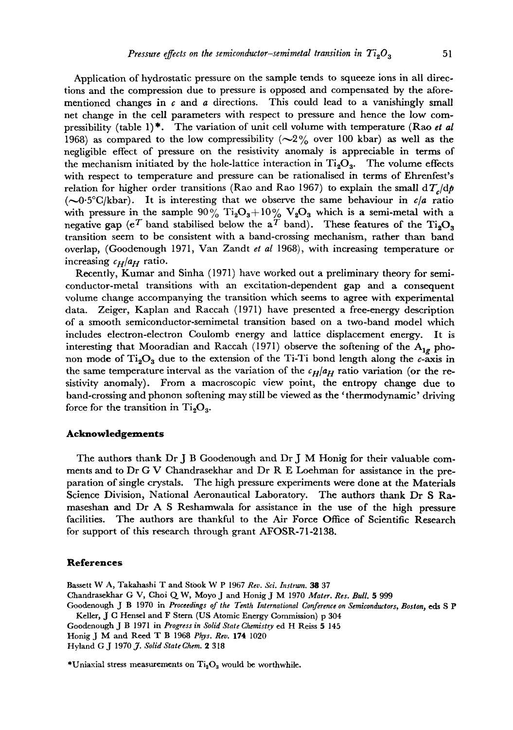Application of hydrostatic pressure on the sample tends to squeeze ions in all directions and the compression due to pressure is opposed and compensated by the aforementioned changes in  $c$  and  $a$  directions. This could lead to a vanishingly small net change in the cell parameters with respect to pressure and hence the low compressibility (table 1)\*. The variation of unit cell volume with temperature (Rao *et al*  1968) as compared to the low compressibility ( $\sim$ 2% over 100 kbar) as well as the negligible effect of pressure on the resistivity anomaly is appreciable in terms of the mechanism initiated by the hole-lattice interaction in  $Ti_2O_3$ . The volume effects with respect to temperature and pressure can be rationalised in terms of Ehrenfest's relation for higher order transitions (Rao and Rao 1967) to explain the small  $d\mathcal{T}_c/dp$  $(-0.5^{\circ}C/kbar)$ . It is interesting that we observe the same behaviour in  $c/a$  ratio with pressure in the sample  $90\%$  Ti<sub>2</sub>O<sub>3</sub>+10% V<sub>2</sub>O<sub>3</sub> which is a semi-metal with a negative gap (e<sup>T</sup> band stabilised below the a<sup>T</sup> band). These features of the  $Ti_2O_3$ transition seem to be consistent with a band-crossing mechanism, rather than band overlap, (Goodenough 1971, Van Zandt *et al* 1968), with increasing temperature or increasing  $c_H/a_H$  ratio.

Recently, Kumar and Sinha (1971) have worked out a preliminary theory for semiconductor-metal transitions with an excitation-dependent gap and a consequent volume change accompanying the transition which seems to agree with experimental data. Zeiger, Kaplan and Raccah (1971) have presented a free-energy description of a smooth semiconductor-semimetal transition based on a two-band model which includes electron-electron Coulomb energy and lattice displacement energy. It is interesting that Mooradian and Raccah (1971) observe the softening of the *Alg* phonon mode of  $Ti_2O_3$  due to the extension of the Ti-Ti bond length along the  $c$ -axis in the same temperature interval as the variation of the  $c_H/a_H$  ratio variation (or the resistivity anomaly). From a macroscopic view point, the entropy change due to band-crossing and phonon softening may still be viewed as the ' thermodynamic' driving force for the transition in  $Ti<sub>2</sub>O<sub>3</sub>$ .

## **Acknowledgements**

The authors thank Dr J B Goodenough and Dr J M Honig for their valuable comments and to Dr G V Chandrasekhar and Dr R E Loehman for assistance in the preparation of single crystals. The high pressure experiments were done at the Materials Science Division, National Aeronautical Laboratory. The authors thank Dr S Ramaseshan and Dr A S Reshamwala for assistance in the use of the high pressure facilities. The authors are thankful to the Air Force Office of Scientific Research for support of this research through grant AFOSR-71-2138.

## **References**

Bassett W A, Takahashi T and Stook W P 1967 *Rev. Sci. Instrum. 38* 37 Chandrasekhar G V, Choi Q W, Moyo J and Honig J M 1970 Mater. Res. Bull. 5 999 Goodenough J B 1970 in *Proceedings of the Tenth International Conference on Semiconductors, Boston, eds S P* 

Keller, J C Hensel and F Stern (US Atomic Energy Commission) p 304 Goodenough J B 1971 in *Progress in Solid State Chemistry* ed H Reiss 5 145

Honig J M and Reed T B 1968 *Phys. Rev.* 174 1020

Hyland GJ 197007. *Solid State Ghem. 2* 318

\*Uniaxial stress measurements on  $Ti_2O_3$  would be worthwhile.